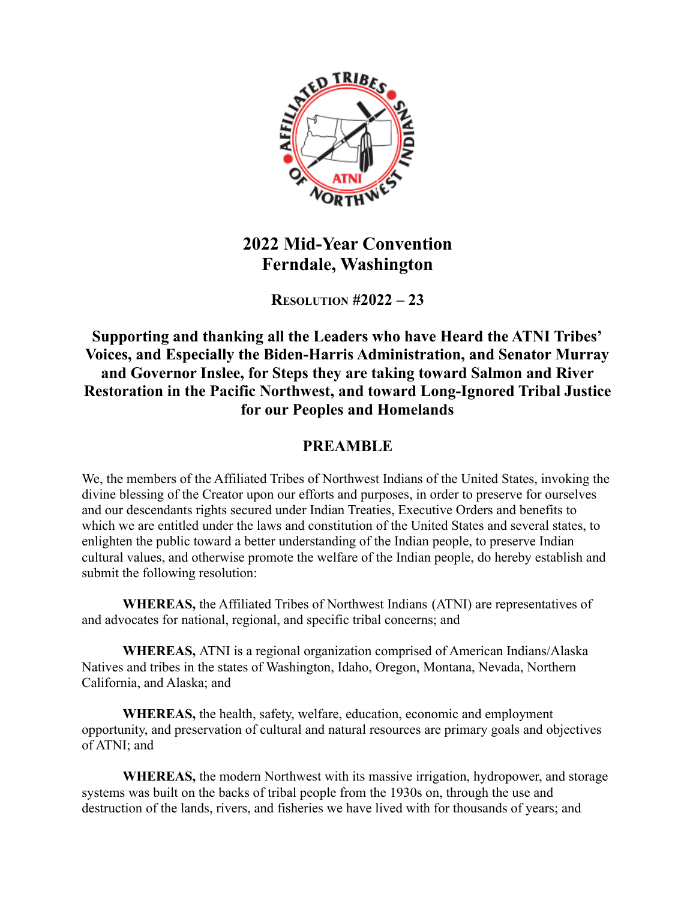

## **2022 Mid-Year Convention Ferndale, Washington**

**RESOLUTION #2022 – 23**

## **Supporting and thanking all the Leaders who have Heard the ATNI Tribes' Voices, and Especially the Biden-Harris Administration, and Senator Murray and Governor Inslee, for Steps they are taking toward Salmon and River Restoration in the Pacific Northwest, and toward Long-Ignored Tribal Justice for our Peoples and Homelands**

## **PREAMBLE**

We, the members of the Affiliated Tribes of Northwest Indians of the United States, invoking the divine blessing of the Creator upon our efforts and purposes, in order to preserve for ourselves and our descendants rights secured under Indian Treaties, Executive Orders and benefits to which we are entitled under the laws and constitution of the United States and several states, to enlighten the public toward a better understanding of the Indian people, to preserve Indian cultural values, and otherwise promote the welfare of the Indian people, do hereby establish and submit the following resolution:

**WHEREAS,** the Affiliated Tribes of Northwest Indians (ATNI) are representatives of and advocates for national, regional, and specific tribal concerns; and

**WHEREAS,** ATNI is a regional organization comprised of American Indians/Alaska Natives and tribes in the states of Washington, Idaho, Oregon, Montana, Nevada, Northern California, and Alaska; and

**WHEREAS,** the health, safety, welfare, education, economic and employment opportunity, and preservation of cultural and natural resources are primary goals and objectives of ATNI; and

**WHEREAS,** the modern Northwest with its massive irrigation, hydropower, and storage systems was built on the backs of tribal people from the 1930s on, through the use and destruction of the lands, rivers, and fisheries we have lived with for thousands of years; and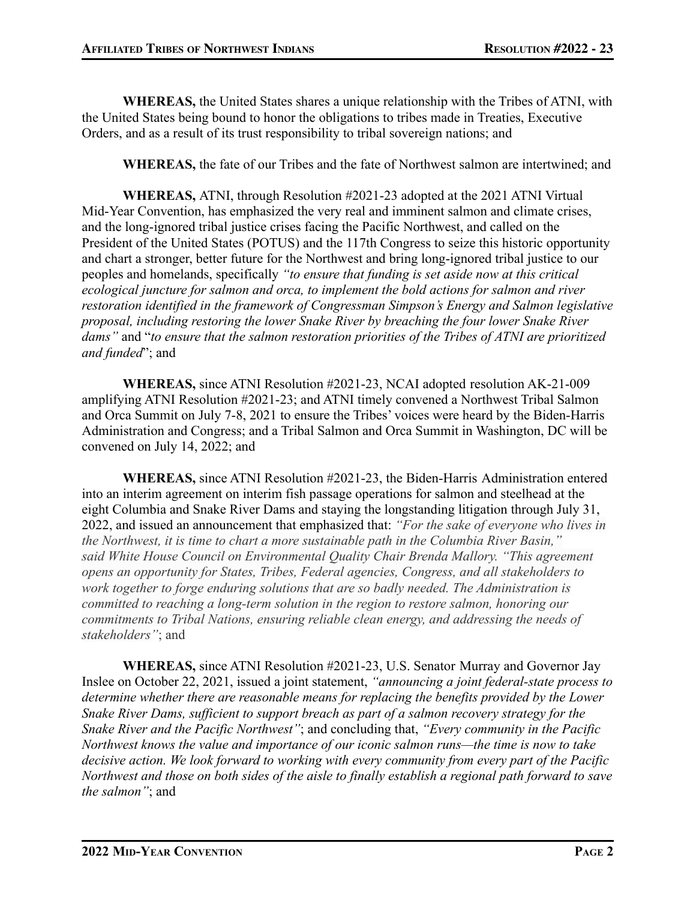**WHEREAS,** the United States shares a unique relationship with the Tribes of ATNI, with the United States being bound to honor the obligations to tribes made in Treaties, Executive Orders, and as a result of its trust responsibility to tribal sovereign nations; and

**WHEREAS,** the fate of our Tribes and the fate of Northwest salmon are intertwined; and

**WHEREAS,** ATNI, through Resolution #2021-23 adopted at the 2021 ATNI Virtual Mid-Year Convention, has emphasized the very real and imminent salmon and climate crises, and the long-ignored tribal justice crises facing the Pacific Northwest, and called on the President of the United States (POTUS) and the 117th Congress to seize this historic opportunity and chart a stronger, better future for the Northwest and bring long-ignored tribal justice to our peoples and homelands, specifically *"to ensure that funding is set aside now at this critical ecological juncture for salmon and orca, to implement the bold actions for salmon and river restoration identified in the framework of Congressman Simpson's Energy and Salmon legislative proposal, including restoring the lower Snake River by breaching the four lower Snake River dams"* and "*to ensure that the salmon restoration priorities of the Tribes of ATNI are prioritized and funded*"; and

**WHEREAS,** since ATNI Resolution #2021-23, NCAI adopted resolution AK-21-009 amplifying ATNI Resolution #2021-23; and ATNI timely convened a Northwest Tribal Salmon and Orca Summit on July 7-8, 2021 to ensure the Tribes' voices were heard by the Biden-Harris Administration and Congress; and a Tribal Salmon and Orca Summit in Washington, DC will be convened on July 14, 2022; and

**WHEREAS,** since ATNI Resolution #2021-23, the Biden-Harris Administration entered into an interim agreement on interim fish passage operations for salmon and steelhead at the eight Columbia and Snake River Dams and staying the longstanding litigation through July 31, 2022, and issued an announcement that emphasized that: *"For the sake of everyone who lives in the Northwest, it is time to chart a more sustainable path in the Columbia River Basin," said White House Council on Environmental Quality Chair Brenda Mallory. "This agreement opens an opportunity for States, Tribes, Federal agencies, Congress, and all stakeholders to work together to forge enduring solutions that are so badly needed. The Administration is committed to reaching a long-term solution in the region to restore salmon, honoring our commitments to Tribal Nations, ensuring reliable clean energy, and addressing the needs of stakeholders"*; and

**WHEREAS,** since ATNI Resolution #2021-23, U.S. Senator Murray and Governor Jay Inslee on October 22, 2021, issued a joint statement, *"announcing a joint federal-state process to determine whether there are reasonable means for replacing the benefits provided by the Lower Snake River Dams, sufficient to support breach as part of a salmon recovery strategy for the Snake River and the Pacific Northwest"*; and concluding that, *"Every community in the Pacific Northwest knows the value and importance of our iconic salmon runs—the time is now to take decisive action. We look forward to working with every community from every part of the Pacific Northwest and those on both sides of the aisle to finally establish a regional path forward to save the salmon"*; and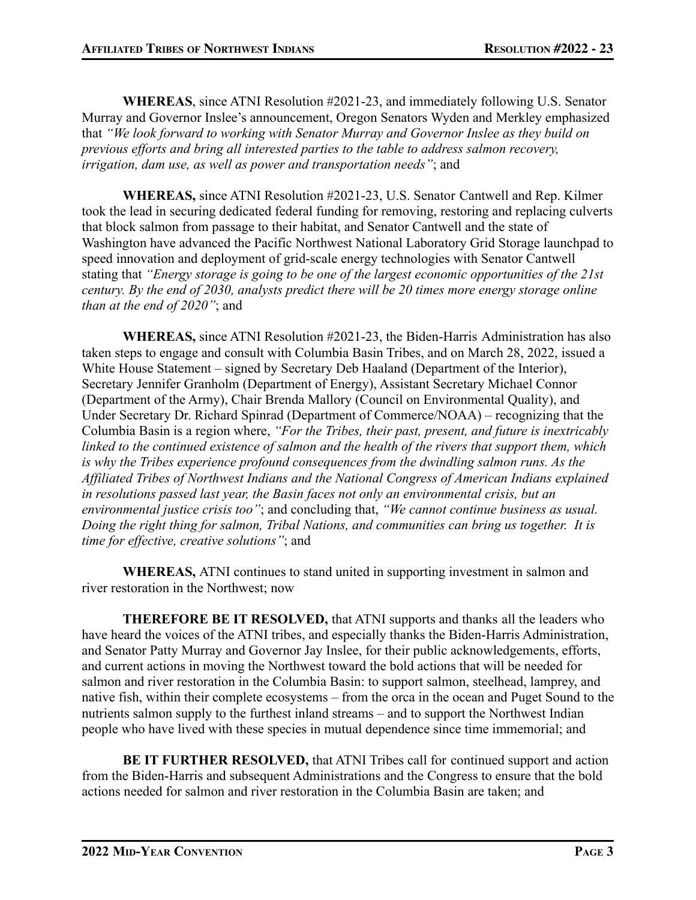**WHEREAS**, since ATNI Resolution #2021-23, and immediately following U.S. Senator Murray and Governor Inslee's announcement, Oregon Senators Wyden and Merkley emphasized that *"We look forward to working with Senator Murray and Governor Inslee as they build on previous efforts and bring all interested parties to the table to address salmon recovery, irrigation, dam use, as well as power and transportation needs"*; and

**WHEREAS,** since ATNI Resolution #2021-23, U.S. Senator Cantwell and Rep. Kilmer took the lead in securing dedicated federal funding for removing, restoring and replacing culverts that block salmon from passage to their habitat, and Senator Cantwell and the state of Washington have advanced the Pacific Northwest National Laboratory Grid Storage launchpad to speed innovation and deployment of grid-scale energy technologies with Senator Cantwell stating that *"Energy storage is going to be one of the largest economic opportunities of the 21st century. By the end of 2030, analysts predict there will be 20 times more energy storage online than at the end of 2020"*; and

**WHEREAS,** since ATNI Resolution #2021-23, the Biden-Harris Administration has also taken steps to engage and consult with Columbia Basin Tribes, and on March 28, 2022, issued a White House Statement – signed by Secretary Deb Haaland (Department of the Interior), Secretary Jennifer Granholm (Department of Energy), Assistant Secretary Michael Connor (Department of the Army), Chair Brenda Mallory (Council on Environmental Quality), and Under Secretary Dr. Richard Spinrad (Department of Commerce/NOAA) – recognizing that the Columbia Basin is a region where, *"For the Tribes, their past, present, and future is inextricably linked to the continued existence of salmon and the health of the rivers that support them, which is why the Tribes experience profound consequences from the dwindling salmon runs. As the Affiliated Tribes of Northwest Indians and the National Congress of American Indians explained in resolutions passed last year, the Basin faces not only an environmental crisis, but an environmental justice crisis too"*; and concluding that, *"We cannot continue business as usual. Doing the right thing for salmon, Tribal Nations, and communities can bring us together. It is time for effective, creative solutions"*; and

**WHEREAS,** ATNI continues to stand united in supporting investment in salmon and river restoration in the Northwest; now

**THEREFORE BE IT RESOLVED,** that ATNI supports and thanks all the leaders who have heard the voices of the ATNI tribes, and especially thanks the Biden-Harris Administration, and Senator Patty Murray and Governor Jay Inslee, for their public acknowledgements, efforts, and current actions in moving the Northwest toward the bold actions that will be needed for salmon and river restoration in the Columbia Basin: to support salmon, steelhead, lamprey, and native fish, within their complete ecosystems – from the orca in the ocean and Puget Sound to the nutrients salmon supply to the furthest inland streams – and to support the Northwest Indian people who have lived with these species in mutual dependence since time immemorial; and

**BE IT FURTHER RESOLVED,** that ATNI Tribes call for continued support and action from the Biden-Harris and subsequent Administrations and the Congress to ensure that the bold actions needed for salmon and river restoration in the Columbia Basin are taken; and